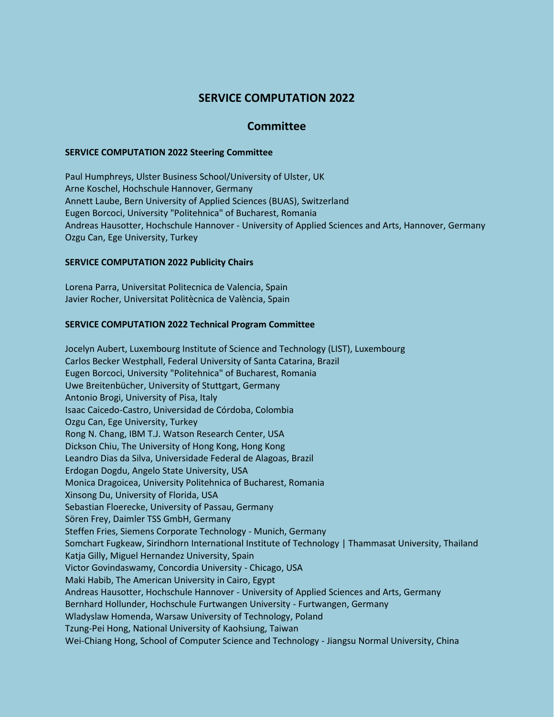# **SERVICE COMPUTATION 2022**

## **Committee**

#### **SERVICE COMPUTATION 2022 Steering Committee**

Paul Humphreys, Ulster Business School/University of Ulster, UK Arne Koschel, Hochschule Hannover, Germany Annett Laube, Bern University of Applied Sciences (BUAS), Switzerland Eugen Borcoci, University "Politehnica" of Bucharest, Romania Andreas Hausotter, Hochschule Hannover - University of Applied Sciences and Arts, Hannover, Germany Ozgu Can, Ege University, Turkey

### **SERVICE COMPUTATION 2022 Publicity Chairs**

Lorena Parra, Universitat Politecnica de Valencia, Spain Javier Rocher, Universitat Politècnica de València, Spain

#### **SERVICE COMPUTATION 2022 Technical Program Committee**

Jocelyn Aubert, Luxembourg Institute of Science and Technology (LIST), Luxembourg Carlos Becker Westphall, Federal University of Santa Catarina, Brazil Eugen Borcoci, University "Politehnica" of Bucharest, Romania Uwe Breitenbücher, University of Stuttgart, Germany Antonio Brogi, University of Pisa, Italy Isaac Caicedo-Castro, Universidad de Córdoba, Colombia Ozgu Can, Ege University, Turkey Rong N. Chang, IBM T.J. Watson Research Center, USA Dickson Chiu, The University of Hong Kong, Hong Kong Leandro Dias da Silva, Universidade Federal de Alagoas, Brazil Erdogan Dogdu, Angelo State University, USA Monica Dragoicea, University Politehnica of Bucharest, Romania Xinsong Du, University of Florida, USA Sebastian Floerecke, University of Passau, Germany Sören Frey, Daimler TSS GmbH, Germany Steffen Fries, Siemens Corporate Technology - Munich, Germany Somchart Fugkeaw, Sirindhorn International Institute of Technology | Thammasat University, Thailand Katja Gilly, Miguel Hernandez University, Spain Victor Govindaswamy, Concordia University - Chicago, USA Maki Habib, The American University in Cairo, Egypt Andreas Hausotter, Hochschule Hannover - University of Applied Sciences and Arts, Germany Bernhard Hollunder, Hochschule Furtwangen University - Furtwangen, Germany Wladyslaw Homenda, Warsaw University of Technology, Poland Tzung-Pei Hong, National University of Kaohsiung, Taiwan Wei-Chiang Hong, School of Computer Science and Technology - Jiangsu Normal University, China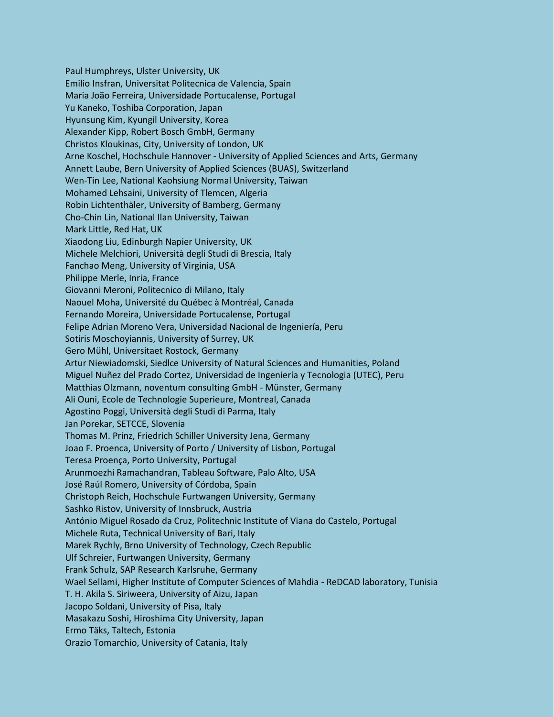Paul Humphreys, Ulster University, UK Emilio Insfran, Universitat Politecnica de Valencia, Spain Maria João Ferreira, Universidade Portucalense, Portugal Yu Kaneko, Toshiba Corporation, Japan Hyunsung Kim, Kyungil University, Korea Alexander Kipp, Robert Bosch GmbH, Germany Christos Kloukinas, City, University of London, UK Arne Koschel, Hochschule Hannover - University of Applied Sciences and Arts, Germany Annett Laube, Bern University of Applied Sciences (BUAS), Switzerland Wen-Tin Lee, National Kaohsiung Normal University, Taiwan Mohamed Lehsaini, University of Tlemcen, Algeria Robin Lichtenthäler, University of Bamberg, Germany Cho-Chin Lin, National Ilan University, Taiwan Mark Little, Red Hat, UK Xiaodong Liu, Edinburgh Napier University, UK Michele Melchiori, Università degli Studi di Brescia, Italy Fanchao Meng, University of Virginia, USA Philippe Merle, Inria, France Giovanni Meroni, Politecnico di Milano, Italy Naouel Moha, Université du Québec à Montréal, Canada Fernando Moreira, Universidade Portucalense, Portugal Felipe Adrian Moreno Vera, Universidad Nacional de Ingeniería, Peru Sotiris Moschoyiannis, University of Surrey, UK Gero Mühl, Universitaet Rostock, Germany Artur Niewiadomski, Siedlce University of Natural Sciences and Humanities, Poland Miguel Nuñez del Prado Cortez, Universidad de Ingeniería y Tecnologia (UTEC), Peru Matthias Olzmann, noventum consulting GmbH - Münster, Germany Ali Ouni, Ecole de Technologie Superieure, Montreal, Canada Agostino Poggi, Università degli Studi di Parma, Italy Jan Porekar, SETCCE, Slovenia Thomas M. Prinz, Friedrich Schiller University Jena, Germany Joao F. Proenca, University of Porto / University of Lisbon, Portugal Teresa Proença, Porto University, Portugal Arunmoezhi Ramachandran, Tableau Software, Palo Alto, USA José Raúl Romero, University of Córdoba, Spain Christoph Reich, Hochschule Furtwangen University, Germany Sashko Ristov, University of Innsbruck, Austria António Miguel Rosado da Cruz, Politechnic Institute of Viana do Castelo, Portugal Michele Ruta, Technical University of Bari, Italy Marek Rychly, Brno University of Technology, Czech Republic Ulf Schreier, Furtwangen University, Germany Frank Schulz, SAP Research Karlsruhe, Germany Wael Sellami, Higher Institute of Computer Sciences of Mahdia - ReDCAD laboratory, Tunisia T. H. Akila S. Siriweera, University of Aizu, Japan Jacopo Soldani, University of Pisa, Italy Masakazu Soshi, Hiroshima City University, Japan Ermo Täks, Taltech, Estonia Orazio Tomarchio, University of Catania, Italy